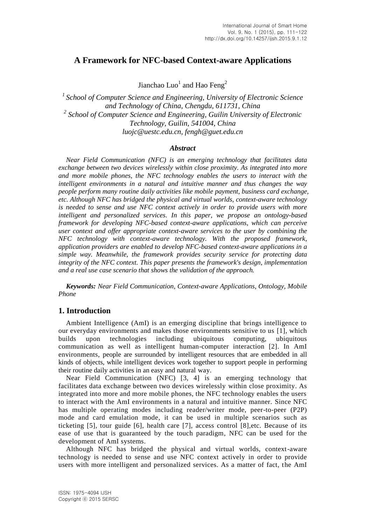# **A Framework for NFC-based Context-aware Applications**

Jianchao  $\text{Luo}^1$  and Hao Feng<sup>2</sup>

<sup>1</sup> School of Computer Science and Engineering, University of Electronic Science *and Technology of China, Chengdu, 611731, China* <sup>2</sup> School of Computer Science and Engineering, Guilin University of Electronic *Technology, Guilin, 541004, China luojc@uestc.edu.cn, fengh@guet.edu.cn*

#### *Abstract*

*Near Field Communication (NFC) is an emerging technology that facilitates data exchange between two devices wirelessly within close proximity. As integrated into more and more mobile phones, the NFC technology enables the users to interact with the intelligent environments in a natural and intuitive manner and thus changes the way people perform many routine daily activities like mobile payment, business card exchange, etc. Although NFC has bridged the physical and virtual worlds, context-aware technology is needed to sense and use NFC context actively in order to provide users with more intelligent and personalized services. In this paper, we propose an ontology-based framework for developing NFC-based context-aware applications, which can perceive user context and offer appropriate context-aware services to the user by combining the NFC technology with context-aware technology. With the proposed framework, application providers are enabled to develop NFC-based context-aware applications in a simple way. Meanwhile, the framework provides security service for protecting data integrity of the NFC context. This paper presents the framework's design, implementation and a real use case scenario that shows the validation of the approach.*

*Keywords: Near Field Communication, Context-aware Applications, Ontology, Mobile Phone*

# **1. Introduction**

Ambient Intelligence (AmI) is an emerging discipline that brings intelligence to our everyday environments and makes those environments sensitive to us [1], which builds upon technologies including ubiquitous computing, ubiquitous communication as well as intelligent human-computer interaction [2]. In AmI environments, people are surrounded by intelligent resources that are embedded in all kinds of objects, while intelligent devices work together to support people in performing their routine daily activities in an easy and natural way.

Near Field Communication (NFC) [3, 4] is an emerging technology that facilitates data exchange between two devices wirelessly within close proximity. As integrated into more and more mobile phones, the NFC technology enables the users to interact with the AmI environments in a natural and intuitive manner. Since NFC has multiple operating modes including reader/writer mode, peer-to-peer (P2P) mode and card emulation mode, it can be used in multiple scenarios such as ticketing [5], tour guide [6], health care [7], access control [8],etc. Because of its ease of use that is guaranteed by the touch paradigm, NFC can be used for the development of AmI systems.

Although NFC has bridged the physical and virtual worlds, context-aware technology is needed to sense and use NFC context actively in order to provide users with more intelligent and personalized services. As a matter of fact, the AmI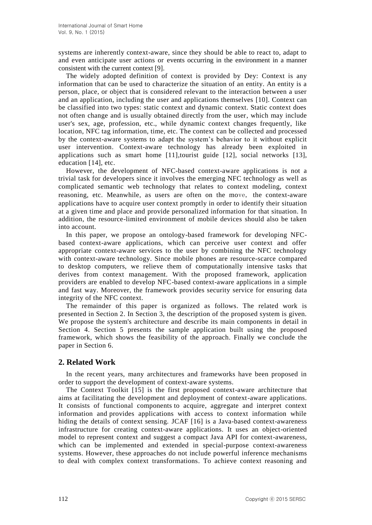systems are inherently context-aware, since they should be able to react to, adapt to and even anticipate user actions or events occurring in the environment in a manner consistent with the current context [9].

The widely adopted definition of context is provided by Dey: Context is any information that can be used to characterize the situation of an entity. An entity is a person, place, or object that is considered relevant to the interaction between a user and an application, including the user and applications themselves [10]. Context can be classified into two types: static context and dynamic context. Static context does not often change and is usually obtained directly from the user, which may include user's sex, age, profession, etc., while dynamic context changes frequently, like location, NFC tag information, time, etc. The context can be collected and processed by the context-aware systems to adapt the system's behavior to it without explicit user intervention. Context-aware technology has already been exploited in applications such as smart home [11],tourist guide [12], social networks [13], education [14], etc.

However, the development of NFC-based context-aware applications is not a trivial task for developers since it involves the emerging NFC technology as well as complicated semantic web technology that relates to context modeling, context reasoning, etc. Meanwhile, as users are often on the move, the context-aware applications have to acquire user context promptly in order to identify their situation at a given time and place and provide personalized information for that situation. In addition, the resource-limited environment of mobile devices should also be taken into account.

In this paper, we propose an ontology-based framework for developing NFCbased context-aware applications, which can perceive user context and offer appropriate context-aware services to the user by combining the NFC technology with context-aware technology. Since mobile phones are resource-scarce compared to desktop computers, we relieve them of computationally intensive tasks that derives from context management. With the proposed framework, application providers are enabled to develop NFC-based context-aware applications in a simple and fast way. Moreover, the framework provides security service for ensuring data integrity of the NFC context.

The remainder of this paper is organized as follows. The related work is presented in Section 2. In Section 3, the description of the proposed system is given. We propose the system's architecture and describe its main components in detail in Section 4. Section 5 presents the sample application built using the proposed framework, which shows the feasibility of the approach. Finally we conclude the paper in Section 6.

# **2. Related Work**

In the recent years, many architectures and frameworks have been proposed in order to support the development of context-aware systems.

The Context Toolkit [15] is the first proposed context-aware architecture that aims at facilitating the development and deployment of context-aware applications. It consists of functional components to acquire, aggregate and interpret context information and provides applications with access to context information while hiding the details of context sensing. JCAF [16] is a Java-based context-awareness infrastructure for creating context-aware applications. It uses an object-oriented model to represent context and suggest a compact Java API for context-awareness, which can be implemented and extended in special-purpose context-awareness systems. However, these approaches do not include powerful inference mechanisms to deal with complex context transformations. To achieve context reasoning and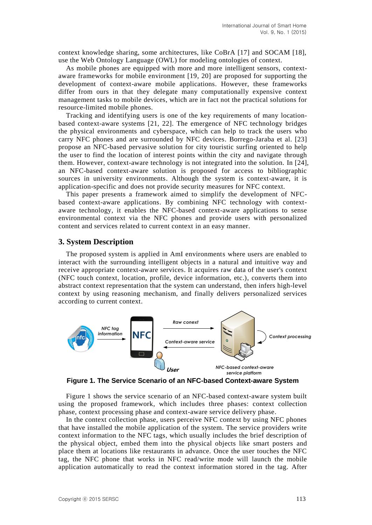context knowledge sharing, some architectures, like CoBrA [17] and SOCAM [18], use the Web Ontology Language (OWL) for modeling ontologies of context.

As mobile phones are equipped with more and more intelligent sensors, contextaware frameworks for mobile environment [19, 20] are proposed for supporting the development of context-aware mobile applications. However, these frameworks differ from ours in that they delegate many computationally expensive context management tasks to mobile devices, which are in fact not the practical solutions for resource-limited mobile phones.

Tracking and identifying users is one of the key requirements of many locationbased context-aware systems [21, 22]. The emergence of NFC technology bridges the physical environments and cyberspace, which can help to track the users who carry NFC phones and are surrounded by NFC devices. Borrego-Jaraba et al. [23] propose an NFC-based pervasive solution for city touristic surfing oriented to help the user to find the location of interest points within the city and navigate through them. However, context-aware technology is not integrated into the solution. In [24], an NFC-based context-aware solution is proposed for access to bibliographic sources in university environments. Although the system is context-aware, it is application-specific and does not provide security measures for NFC context.

This paper presents a framework aimed to simplify the development of NFCbased context-aware applications. By combining NFC technology with contextaware technology, it enables the NFC-based context-aware applications to sense environmental context via the NFC phones and provide users with personalized content and services related to current context in an easy manner.

# **3. System Description**

The proposed system is applied in AmI environments where users are enabled to interact with the surrounding intelligent objects in a natural and intuitive way and receive appropriate context-aware services. It acquires raw data of the user's context (NFC touch context, location, profile, device information, etc.), converts them into abstract context representation that the system can understand, then infers high-level context by using reasoning mechanism, and finally delivers personalized services according to current context.



**Figure 1. The Service Scenario of an NFC-based Context-aware System**

Figure 1 shows the service scenario of an NFC-based context-aware system built using the proposed framework, which includes three phases: context collection phase, context processing phase and context-aware service delivery phase.

In the context collection phase, users perceive NFC context by using NFC phones that have installed the mobile application of the system. The service providers write context information to the NFC tags, which usually includes the brief description of the physical object, embed them into the physical objects like smart posters and place them at locations like restaurants in advance. Once the user touches the NFC tag, the NFC phone that works in NFC read/write mode will launch the mobile application automatically to read the context information stored in the tag. After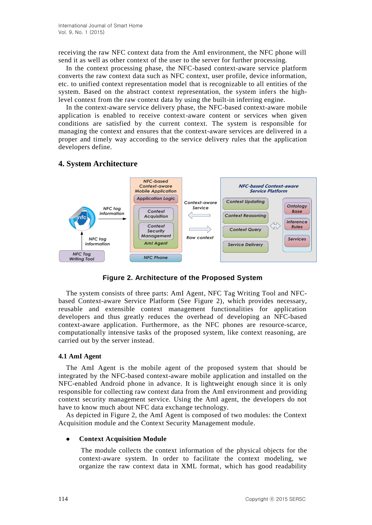receiving the raw NFC context data from the AmI environment, the NFC phone will send it as well as other context of the user to the server for further processing.

In the context processing phase, the NFC-based context-aware service platform converts the raw context data such as NFC context, user profile, device information, etc. to unified context representation model that is recognizable to all entities of the system. Based on the abstract context representation, the system infers the highlevel context from the raw context data by using the built-in inferring engine.

In the context-aware service delivery phase, the NFC-based context-aware mobile application is enabled to receive context-aware content or services when given conditions are satisfied by the current context. The system is responsible for managing the context and ensures that the context-aware services are delivered in a proper and timely way according to the service delivery rules that the application developers define.

# **4. System Architecture**



**Figure 2. Architecture of the Proposed System**

The system consists of three parts: AmI Agent, NFC Tag Writing Tool and NFCbased Context-aware Service Platform (See Figure 2), which provides necessary, reusable and extensible context management functionalities for application developers and thus greatly reduces the overhead of developing an NFC-based context-aware application. Furthermore, as the NFC phones are resource-scarce, computationally intensive tasks of the proposed system, like context reasoning, are carried out by the server instead.

# **4.1 AmI Agent**

The AmI Agent is the mobile agent of the proposed system that should be integrated by the NFC-based context-aware mobile application and installed on the NFC-enabled Android phone in advance. It is lightweight enough since it is only responsible for collecting raw context data from the AmI environment and providing context security management service. Using the AmI agent, the developers do not have to know much about NFC data exchange technology.

As depicted in Figure 2, the AmI Agent is composed of two modules: the Context Acquisition module and the Context Security Management module.

# **Context Acquisition Module**

The module collects the context information of the physical objects for the context-aware system. In order to facilitate the context modeling, we organize the raw context data in XML format, which has good readability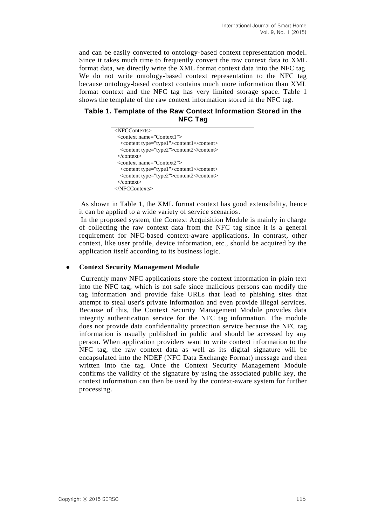and can be easily converted to ontology-based context representation model. Since it takes much time to frequently convert the raw context data to XML format data, we directly write the XML format context data into the NFC tag. We do not write ontology-based context representation to the NFC tag because ontology-based context contains much more information than XML format context and the NFC tag has very limited storage space. Table 1 shows the template of the raw context information stored in the NFC tag.

## **Table 1. Template of the Raw Context Information Stored in the NFC Tag**

| $<$ NFCContexts>                         |
|------------------------------------------|
| <context name="Context1"></context>      |
| <content type="type1">content1</content> |
| <content type="type2">content2</content> |
| $\langle$ /context $\rangle$             |
| <context name="Context2"></context>      |
| <content type="type1">content1</content> |
| <content type="type2">content2</content> |
| $\langle$ /context $\rangle$             |
| $\langle$ NFCContexts>                   |

As shown in Table 1, the XML format context has good extensibility, hence it can be applied to a wide variety of service scenarios.

In the proposed system, the Context Acquisition Module is mainly in charge of collecting the raw context data from the NFC tag since it is a general requirement for NFC-based context-aware applications. In contrast, other context, like user profile, device information, etc., should be acquired by the application itself according to its business logic.

#### **Context Security Management Module**

Currently many NFC applications store the context information in plain text into the NFC tag, which is not safe since malicious persons can modify the tag information and provide fake URLs that lead to phishing sites that attempt to steal user's private information and even provide illegal services. Because of this, the Context Security Management Module provides data integrity authentication service for the NFC tag information. The module does not provide data confidentiality protection service because the NFC tag information is usually published in public and should be accessed by any person. When application providers want to write context information to the NFC tag, the raw context data as well as its digital signature will be encapsulated into the NDEF (NFC Data Exchange Format) message and then written into the tag. Once the Context Security Management Module confirms the validity of the signature by using the associated public key, the context information can then be used by the context-aware system for further processing.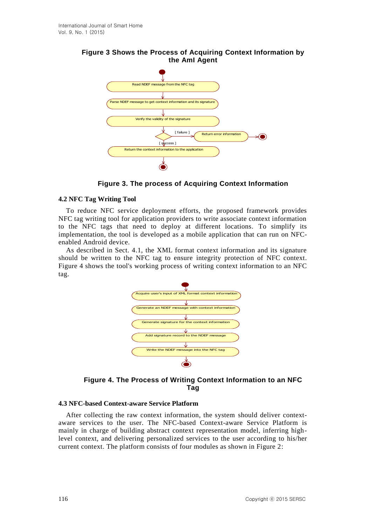



**Figure 3. The process of Acquiring Context Information**

### **4.2 NFC Tag Writing Tool**

To reduce NFC service deployment efforts, the proposed framework provides NFC tag writing tool for application providers to write associate context information to the NFC tags that need to deploy at different locations. To simplify its implementation, the tool is developed as a mobile application that can run on NFCenabled Android device.

As described in Sect. 4.1, the XML format context information and its signature should be written to the NFC tag to ensure integrity protection of NFC context. Figure 4 shows the tool's working process of writing context information to an NFC tag.



# **Figure 4. The Process of Writing Context Information to an NFC Tag**

#### **4.3 NFC-based Context-aware Service Platform**

After collecting the raw context information, the system should deliver contextaware services to the user. The NFC-based Context-aware Service Platform is mainly in charge of building abstract context representation model, inferring highlevel context, and delivering personalized services to the user according to his/her current context. The platform consists of four modules as shown in Figure 2: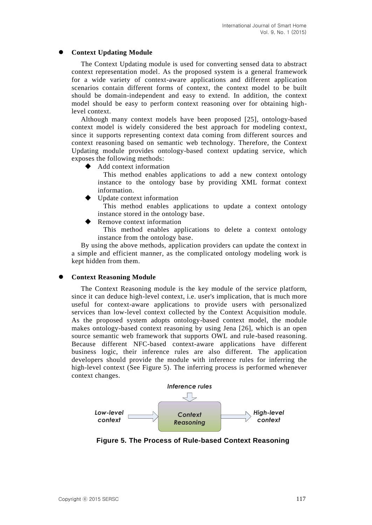### **Context Updating Module**

The Context Updating module is used for converting sensed data to abstract context representation model. As the proposed system is a general framework for a wide variety of context-aware applications and different application scenarios contain different forms of context, the context model to be built should be domain-independent and easy to extend. In addition, the context model should be easy to perform context reasoning over for obtaining highlevel context.

Although many context models have been proposed [25], ontology-based context model is widely considered the best approach for modeling context, since it supports representing context data coming from different sources and context reasoning based on semantic web technology. Therefore, the Context Updating module provides ontology-based context updating service, which exposes the following methods:

Add context information

This method enables applications to add a new context ontology instance to the ontology base by providing XML format context information.

 $\blacklozenge$  Update context information

This method enables applications to update a context ontology instance stored in the ontology base.

**◆** Remove context information

This method enables applications to delete a context ontology instance from the ontology base.

By using the above methods, application providers can update the context in a simple and efficient manner, as the complicated ontology modeling work is kept hidden from them.

# **Context Reasoning Module**

The Context Reasoning module is the key module of the service platform, since it can deduce high-level context, i.e. user's implication, that is much more useful for context-aware applications to provide users with personalized services than low-level context collected by the Context Acquisition module. As the proposed system adopts ontology-based context model, the module makes ontology-based context reasoning by using Jena [26], which is an open source semantic web framework that supports OWL and rule-based reasoning. Because different NFC-based context-aware applications have different business logic, their inference rules are also different. The application developers should provide the module with inference rules for inferring the high-level context (See Figure 5). The inferring process is performed whenever context changes.



**Figure 5. The Process of Rule-based Context Reasoning**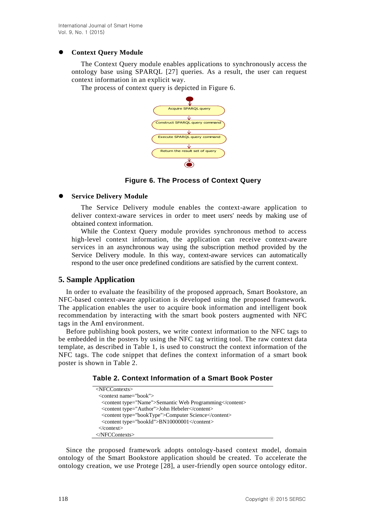# **Context Query Module**

The Context Query module enables applications to synchronously access the ontology base using SPARQL [27] queries. As a result, the user can request context information in an explicit way.

The process of context query is depicted in Figure 6.



**Figure 6. The Process of Context Query**

# **Service Delivery Module**

The Service Delivery module enables the context-aware application to deliver context-aware services in order to meet users' needs by making use of obtained context information.

While the Context Query module provides synchronous method to access high-level context information, the application can receive context-aware services in an asynchronous way using the subscription method provided by the Service Delivery module. In this way, context-aware services can automatically respond to the user once predefined conditions are satisfied by the current context.

# **5. Sample Application**

In order to evaluate the feasibility of the proposed approach, Smart Bookstore, an NFC-based context-aware application is developed using the proposed framework. The application enables the user to acquire book information and intelligent book recommendation by interacting with the smart book posters augmented with NFC tags in the AmI environment.

Before publishing book posters, we write context information to the NFC tags to be embedded in the posters by using the NFC tag writing tool. The raw context data template, as described in Table 1, is used to construct the context information of the NFC tags. The code snippet that defines the context information of a smart book poster is shown in Table 2.

| Table 2. Context Information of a Smart Book Poster |  |  |
|-----------------------------------------------------|--|--|
|-----------------------------------------------------|--|--|

| $\langle$ NFCContexts>                                  |
|---------------------------------------------------------|
| $\alpha$ <context name="book"></context>                |
| <content type="Name">Semantic Web Programming</content> |
| <content type="Author">John Hebeler</content>           |
| <content type="bookType">Computer Science</content>     |
| <content type="bookId">BN10000001</content>             |
| $\langle$ context $\rangle$                             |
| $\langle$ NFCContexts>                                  |

Since the proposed framework adopts ontology-based context model, domain ontology of the Smart Bookstore application should be created. To accelerate the ontology creation, we use Protege [28], a user-friendly open source ontology editor.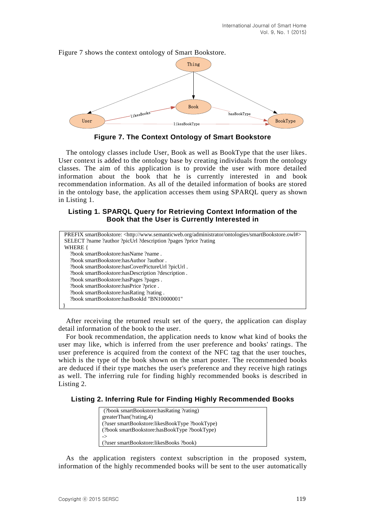

**Figure 7. The Context Ontology of Smart Bookstore**

The ontology classes include User, Book as well as BookType that the user likes. User context is added to the ontology base by creating individuals from the ontology classes. The aim of this application is to provide the user with more detailed information about the book that he is currently interested in and book recommendation information. As all of the detailed information of books are stored in the ontology base, the application accesses them using SPARQL query as shown in Listing 1.

### **Listing 1. SPARQL Query for Retrieving Context Information of the Book that the User is Currently Interested in**

| PREFIX smartBookstore: <http: administrator="" ontologies="" smartbookstore.owl#="" www.semanticweb.org=""></http:> |
|---------------------------------------------------------------------------------------------------------------------|
| SELECT ?name ?author ?picUrl ?description ?pages ?price ?rating                                                     |
| WHERE {                                                                                                             |
| ?book smartBookstore:hasName ?name.                                                                                 |
| ?book smartBookstore:hasAuthor ?author.                                                                             |
| ?book smartBookstore:hasCoverPictureUrl ?picUrl.                                                                    |
| ?book smartBookstore:hasDescription ?description.                                                                   |
| ?book smartBookstore:hasPages ?pages.                                                                               |
| ?book smartBookstore:hasPrice ?price.                                                                               |
| ?book smartBookstore:hasRating ?rating.                                                                             |
| ?book smartBookstore:hasBookId "BN10000001"                                                                         |
|                                                                                                                     |

After receiving the returned result set of the query, the application can display detail information of the book to the user.

For book recommendation, the application needs to know what kind of books the user may like, which is inferred from the user preference and books' ratings. The user preference is acquired from the context of the NFC tag that the user touches, which is the type of the book shown on the smart poster. The recommended books are deduced if their type matches the user's preference and they receive high ratings as well. The inferring rule for finding highly recommended books is described in Listing 2.

# **Listing 2. Inferring Rule for Finding Highly Recommended Books**

| (?book smartBookstore:hasRating ?rating)       |
|------------------------------------------------|
| greater Than(?rating,4)                        |
| (?user smartBookstore:likesBookType ?bookType) |
| (?book smartBookstore:hasBookType ?bookType)   |
| ->                                             |
| (?user smartBookstore:likesBooks ?book)        |
|                                                |

As the application registers context subscription in the proposed system, information of the highly recommended books will be sent to the user automatically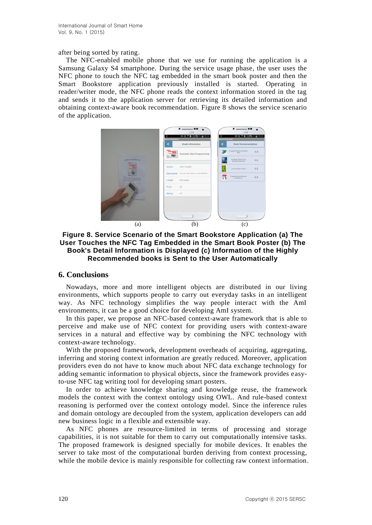after being sorted by rating.

The NFC-enabled mobile phone that we use for running the application is a Samsung Galaxy S4 smartphone. During the service usage phase, the user uses the NFC phone to touch the NFC tag embedded in the smart book poster and then the Smart Bookstore application previously installed is started. Operating in reader/writer mode, the NFC phone reads the context information stored in the tag and sends it to the application server for retrieving its detailed information and obtaining context-aware book recommendation. Figure 8 shows the service scenario of the application.



# **Figure 8. Service Scenario of the Smart Bookstore Application (a) The User Touches the NFC Tag Embedded in the Smart Book Poster (b) The Book's Detail Information is Displayed (c) Information of the Highly Recommended books is Sent to the User Automatically**

# **6. Conclusions**

Nowadays, more and more intelligent objects are distributed in our living environments, which supports people to carry out everyday tasks in an intelligent way. As NFC technology simplifies the way people interact with the AmI environments, it can be a good choice for developing AmI system.

In this paper, we propose an NFC-based context-aware framework that is able to perceive and make use of NFC context for providing users with context-aware services in a natural and effective way by combining the NFC technology with context-aware technology.

With the proposed framework, development overheads of acquiring, aggregating, inferring and storing context information are greatly reduced. Moreover, application providers even do not have to know much about NFC data exchange technology for adding semantic information to physical objects, since the framework provides easyto-use NFC tag writing tool for developing smart posters.

In order to achieve knowledge sharing and knowledge reuse, the framework models the context with the context ontology using OWL. And rule-based context reasoning is performed over the context ontology model. Since the inference rules and domain ontology are decoupled from the system, application developers can add new business logic in a flexible and extensible way.

As NFC phones are resource-limited in terms of processing and storage capabilities, it is not suitable for them to carry out computationally intensive tasks. The proposed framework is designed specially for mobile devices. It enables the server to take most of the computational burden deriving from context processing, while the mobile device is mainly responsible for collecting raw context information.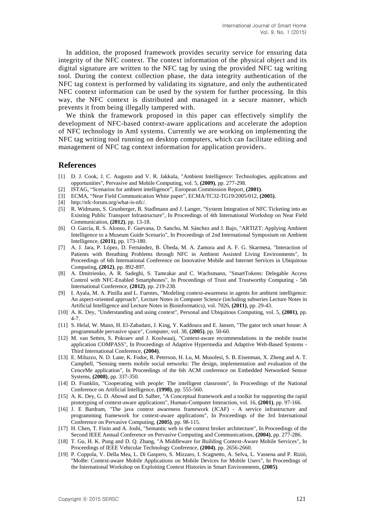In addition, the proposed framework provides security service for ensuring data integrity of the NFC context. The context information of the physical object and its digital signature are written to the NFC tag by using the provided NFC tag writing tool. During the context collection phase, the data integrity authentication of the NFC tag context is performed by validating its signature, and only the authenticated NFC context information can be used by the system for further processing. In this way, the NFC context is distributed and managed in a secure manner, which prevents it from being illegally tampered with.

We think the framework proposed in this paper can effectively simplify the development of NFC-based context-aware applications and accelerate the adoption of NFC technology in AmI systems. Currently we are working on implementing the NFC tag writing tool running on desktop computers, which can facilitate editing and management of NFC tag context information for application providers.

#### **References**

- [1] D. J. Cook, J. C. Augusto and V. R. Jakkula, "Ambient Intelligence: Technologies, applications and opportunities", Pervasive and Mobile Computing, vol. 5, **(2009)**, pp. 277-298.
- [2] ISTAG, "Scenarios for ambient intelligence", European Commission Report, **(2001)**.
- [3] ECMA, "Near Field Communication White paper", ECMA/TC32-TG19/2005/012, **(2005)**.
- [4] http://nfc-forum.org/what-is-nfc/.
- [5] R. Widmann, S. Grunberger, B. Stadlmann and J. Langer, "System Integration of NFC Ticketing into an Existing Public Transport Infrastructure", In Proceedings of 4th International Workshop on Near Field Communication, **(2012)**, pp. 13-18.
- [6] O. García, R. S. Alonso, F. Guevana, D. Sancho, M. Sánchez and J. Bajo, "ARTIZT: Applying Ambient Intelligence to a Museum Guide Scenario", In Proceedings of 2nd International Symposium on Ambient Intelligence, **(2011)**, pp. 173-180.
- [7] A. J. Jara, P. López, D. Fernández, B. Ú beda, M. A. Zamora and A. F. G. Skarmeta, "Interaction of Patients with Breathing Problems through NFC in Ambient Assisted Living Environments", In Proceedings of 6th International Conference on Innovative Mobile and Internet Services in Ubiquitous Computing, **(2012)**, pp. 892-897.
- [8] A. Dmitrienko, A. R. Sadeghi, S. Tamrakar and C. Wachsmann, "SmartTokens: Delegable Access Control with NFC-Enabled Smartphones", In Proceedings of Trust and Trustworthy Computing - 5th International Conference, **(2012)**, pp. 219-238.
- [9] I[. Ayala, M](http://www.engineeringvillage.com/search/results/quick.url?CID=quickSearchCitationFormat&searchWord1=%7bAyala%2C+Inmaculada%7d§ion1=AU&database=1&yearselect=yearrange&sort=yr). A. [Pinilla](http://www.engineeringvillage.com/search/results/quick.url?CID=quickSearchCitationFormat&searchWord1=%7bPinilla%2C+Mercedes+Amor%7d§ion1=AU&database=1&yearselect=yearrange&sort=yr) and L. [Fuentes,](http://www.engineeringvillage.com/search/results/quick.url?CID=quickSearchCitationFormat&searchWord1=%7bFuentes%2C+Lidia%7d§ion1=AU&database=1&yearselect=yearrange&sort=yr) "Modeling context-awareness in agents for ambient intelligence: An aspect-oriented approach", Lecture Notes in Computer Science (including subseries Lecture Notes in Artificial Intelligence and Lecture Notes in Bioinformatics), vol. 7026, **(2011)**, pp. 29-43.
- [10] A. K. Dey, "Understanding and using context", Personal and Ubiquitous Computing, vol. 5, **(2001)**, pp. 4-7.
- [11] S. Helal, W. Mann, H. El-Zabadani, J. King, Y. Kaddoura and E. Jansen, "The gator tech smart house: A programmable pervasive space", Computer, vol. 38, **(2005)**, pp. 50-60.
- [12] M. van Setten, S. Pokraev and J. Koolwaaij, "Context-aware recommendations in the mobile tourist application COMPASS", In Proceedings of Adaptive Hypermedia and Adaptive Web-Based Systems - Third International Conference, **(2004)**.
- [13] E. Miluzzo, N. D. Lane, K. Fodor, R. Peterson, H. Lu, M. Musolesi, S. B[. Eisenman, X](http://www.engineeringvillage.com/search/results/quick.url?CID=quickSearchCitationFormat&searchWord1=%7bEisenman%2C+Shane+B.%7d§ion1=AU&database=1&yearselect=yearrange&sort=yr)[. Zheng](http://www.engineeringvillage.com/search/results/quick.url?CID=quickSearchCitationFormat&searchWord1=%7bZheng%2C+Xiao%7d§ion1=AU&database=1&yearselect=yearrange&sort=yr) and A. T. [Campbell,](http://www.engineeringvillage.com/search/results/quick.url?CID=quickSearchCitationFormat&searchWord1=%7bCampbell%2C+Andrew+T.%7d§ion1=AU&database=1&yearselect=yearrange&sort=yr) "Sensing meets mobile social networks: The design, implementation and evaluation of the CenceMe application", In Proceedings of the 6th ACM conference on Embedded Networked Sensor Systems, **(2008)**, pp. 337-350.
- [14] D. Franklin, "Cooperating with people: The intelligent classroom", In Proceedings of the National Conference on Artificial Intelligence, **(1998)**, pp. 555-560.
- [15] A. K. Dey, G. D. Abowd and D. Salber, "A Conceptual framework and a toolkit for supporting the rapid prototyping of context-aware applications", Human-Computer Interaction, vol. 16, **(2001)**, pp. 97-166.
- [16] J. E Bardram, "The java context awareness framework (JCAF) A service infrastructure and programming framework for context-aware applications", In Proceedings of the 3rd International Conference on Pervasive Computing, **(2005)**, pp. 98-115.
- [17] H. Chen, T. Finin and A. Joshi, "Semantic web in the context broker architecture", In Proceedings of the Second IEEE Annual Conference on Pervasive Computing and Communications, **(2004)**, pp. 277-286.
- [18] T. Gu, H. K. Pung and D. Q. Zhang, "A Middleware for Building Context-Aware Mobile Services", In Proceedings of IEEE Vehicular Technology Conference, **(2004)**, pp. 2656-2660.
- [19] P. Coppola, V. Della Mea, L. Di Gaspero, S. Mizzaro, I. Scagnetto, A. Selva, L. Vassena and P. Riziò, "MoBe: Context-aware Mobile Applications on Mobile Devices for Mobile Users", In Proceedings of the International Workshop on Exploiting Context Histories in Smart Environments, **(2005)**.